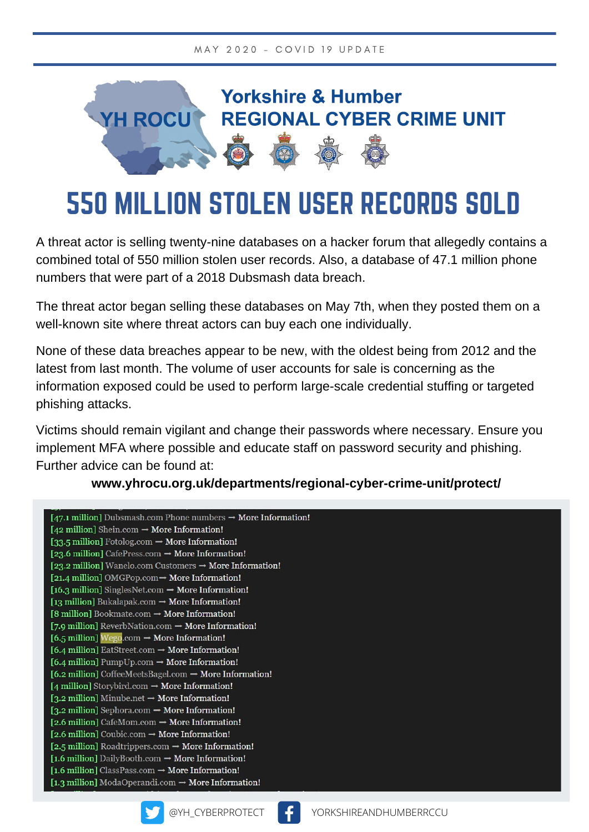

# 550 MILLION STOLEN USER RECORDS SOLD

A threat actor is selling twenty-nine databases on a hacker forum that allegedly contains a combined total of 550 million stolen user records. Also, a database of 47.1 million phone numbers that were part of a 2018 Dubsmash data breach.

The threat actor began selling these databases on May 7th, when they posted them on a well-known site where threat actors can buy each one individually.

None of these data breaches appear to be new, with the oldest being from 2012 and the latest from last month. The volume of user accounts for sale is concerning as the information exposed could be used to perform large-scale credential stuffing or targeted phishing attacks.

Victims should remain vigilant and change their passwords where necessary. Ensure you implement MFA where possible and educate staff on password security and phishing. Further advice can be found at:

**www.yhrocu.org.uk/departments/regional-cyber-crime-unit/protect/**